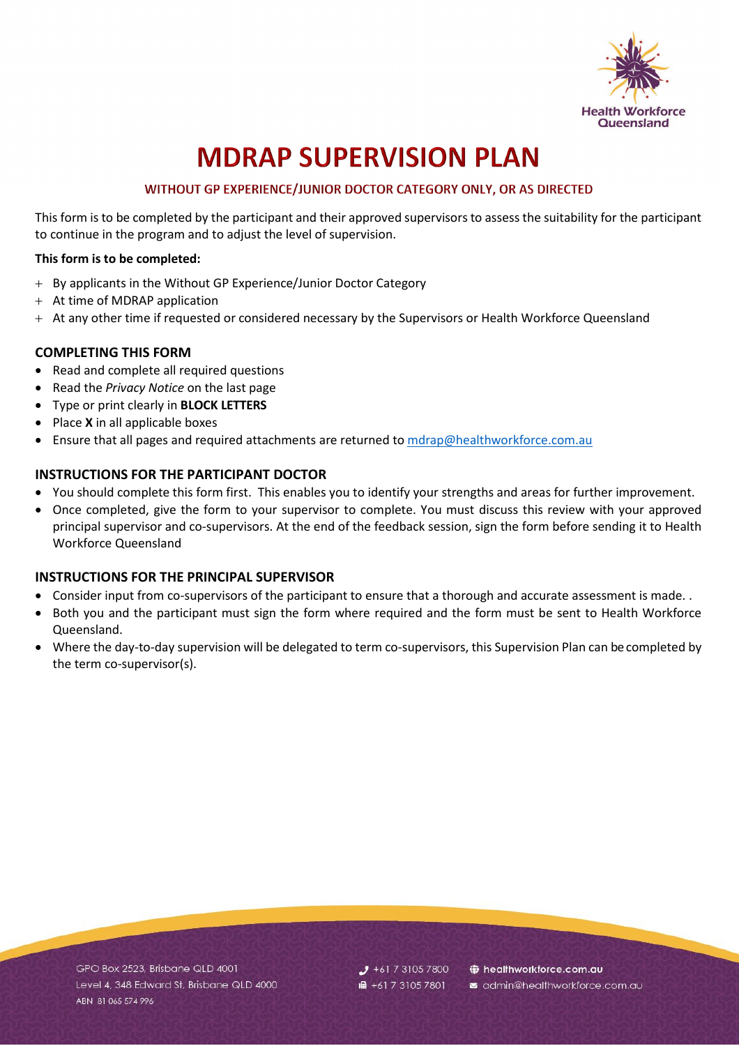

# **MDRAP SUPERVISION PLAN**

### WITHOUT GP EXPERIENCE/JUNIOR DOCTOR CATEGORY ONLY, OR AS DIRECTED

This form is to be completed by the participant and their approved supervisors to assess the suitability for the participant to continue in the program and to adjust the level of supervision.

#### **This form is to be completed:**

- + By applicants in the Without GP Experience/Junior Doctor Category
- + At time of MDRAP application
- + At any other time if requested or considered necessary by the Supervisors or Health Workforce Queensland

#### **COMPLETING THIS FORM**

- Read and complete all required questions
- Read the *Privacy Notice* on the last page
- Type or print clearly in **BLOCK LETTERS**
- Place **X** in all applicable boxes
- Ensure that all pages and required attachments are returned to [mdrap@healthworkforce.com.au](mailto:mdrap@healthworkforce.com.au)

#### **INSTRUCTIONS FOR THE PARTICIPANT DOCTOR**

- You should complete this form first. This enables you to identify your strengths and areas for further improvement.
- Once completed, give the form to your supervisor to complete. You must discuss this review with your approved principal supervisor and co-supervisors. At the end of the feedback session, sign the form before sending it to Health Workforce Queensland

#### **INSTRUCTIONS FOR THE PRINCIPAL SUPERVISOR**

- Consider input from co-supervisors of the participant to ensure that a thorough and accurate assessment is made. .
- Both you and the participant must sign the form where required and the form must be sent to Health Workforce Queensland.
- Where the day-to-day supervision will be delegated to term co-supervisors, this Supervision Plan can be completed by the term co-supervisor(s).

GPO Box 2523, Brisbane QLD 4001 Level 4, 348 Edward St, Brisbane QLD 4000 ABN 81 065 574 996

 $J$  +61 7 3105 7800 **■** +61 7 3105 7801

healthworkforce.com.au admin@healthworkforce.com.au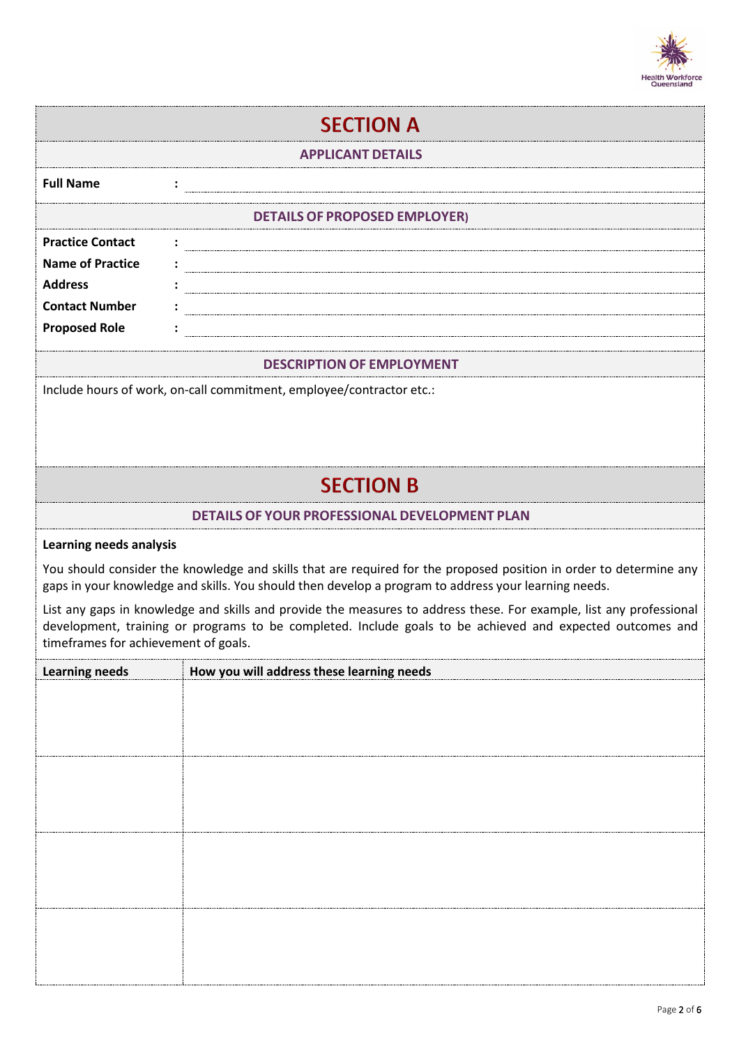

| <b>SECTION A</b>                                                                                                                                                                                                                                                         |                                                                      |  |  |  |
|--------------------------------------------------------------------------------------------------------------------------------------------------------------------------------------------------------------------------------------------------------------------------|----------------------------------------------------------------------|--|--|--|
| <b>APPLICANT DETAILS</b>                                                                                                                                                                                                                                                 |                                                                      |  |  |  |
| <b>Full Name</b>                                                                                                                                                                                                                                                         |                                                                      |  |  |  |
|                                                                                                                                                                                                                                                                          | <b>DETAILS OF PROPOSED EMPLOYER)</b>                                 |  |  |  |
| <b>Practice Contact</b>                                                                                                                                                                                                                                                  |                                                                      |  |  |  |
| <b>Name of Practice</b><br><b>Address</b>                                                                                                                                                                                                                                |                                                                      |  |  |  |
| <b>Contact Number</b>                                                                                                                                                                                                                                                    |                                                                      |  |  |  |
| <b>Proposed Role</b>                                                                                                                                                                                                                                                     |                                                                      |  |  |  |
| <b>DESCRIPTION OF EMPLOYMENT</b>                                                                                                                                                                                                                                         |                                                                      |  |  |  |
|                                                                                                                                                                                                                                                                          | Include hours of work, on-call commitment, employee/contractor etc.: |  |  |  |
|                                                                                                                                                                                                                                                                          |                                                                      |  |  |  |
|                                                                                                                                                                                                                                                                          |                                                                      |  |  |  |
|                                                                                                                                                                                                                                                                          | <b>SECTION B</b>                                                     |  |  |  |
|                                                                                                                                                                                                                                                                          | <b>DETAILS OF YOUR PROFESSIONAL DEVELOPMENT PLAN</b>                 |  |  |  |
| <b>Learning needs analysis</b>                                                                                                                                                                                                                                           |                                                                      |  |  |  |
| You should consider the knowledge and skills that are required for the proposed position in order to determine any<br>gaps in your knowledge and skills. You should then develop a program to address your learning needs.                                               |                                                                      |  |  |  |
| List any gaps in knowledge and skills and provide the measures to address these. For example, list any professional<br>development, training or programs to be completed. Include goals to be achieved and expected outcomes and<br>timeframes for achievement of goals. |                                                                      |  |  |  |
| <b>Learning needs</b>                                                                                                                                                                                                                                                    | How you will address these learning needs                            |  |  |  |
|                                                                                                                                                                                                                                                                          |                                                                      |  |  |  |
|                                                                                                                                                                                                                                                                          |                                                                      |  |  |  |
|                                                                                                                                                                                                                                                                          |                                                                      |  |  |  |
|                                                                                                                                                                                                                                                                          |                                                                      |  |  |  |
|                                                                                                                                                                                                                                                                          |                                                                      |  |  |  |
|                                                                                                                                                                                                                                                                          |                                                                      |  |  |  |
|                                                                                                                                                                                                                                                                          |                                                                      |  |  |  |
|                                                                                                                                                                                                                                                                          |                                                                      |  |  |  |
|                                                                                                                                                                                                                                                                          |                                                                      |  |  |  |
|                                                                                                                                                                                                                                                                          |                                                                      |  |  |  |
|                                                                                                                                                                                                                                                                          |                                                                      |  |  |  |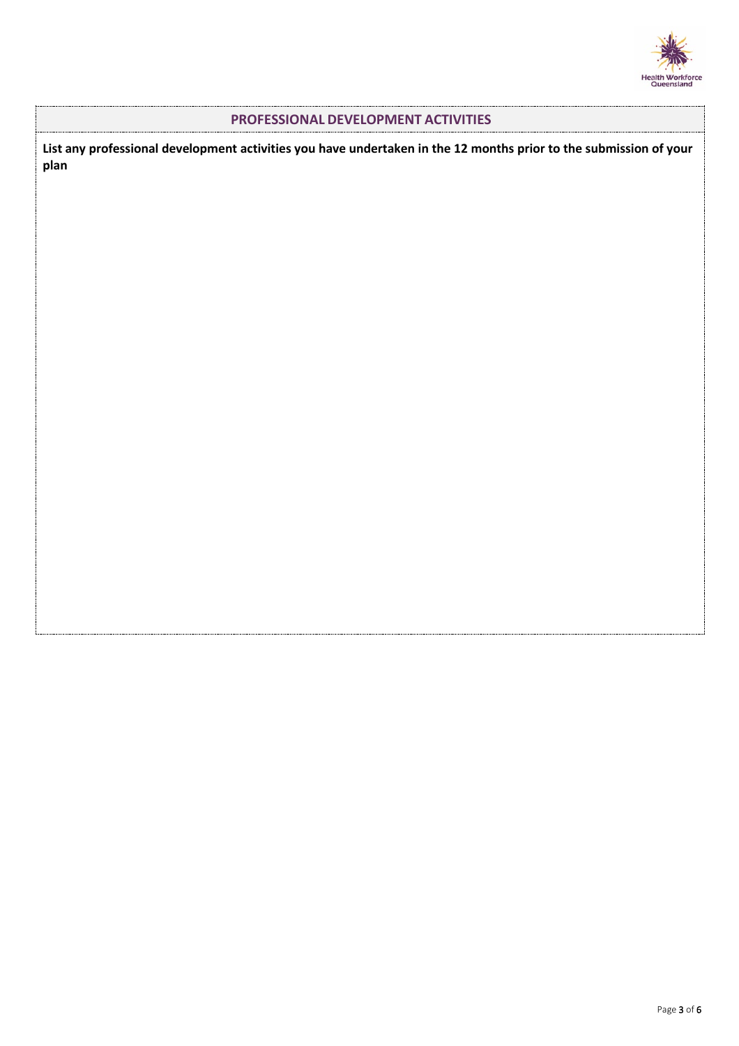

#### **PROFESSIONAL DEVELOPMENT ACTIVITIES**

**List any professional development activities you have undertaken in the 12 months prior to the submission of your plan**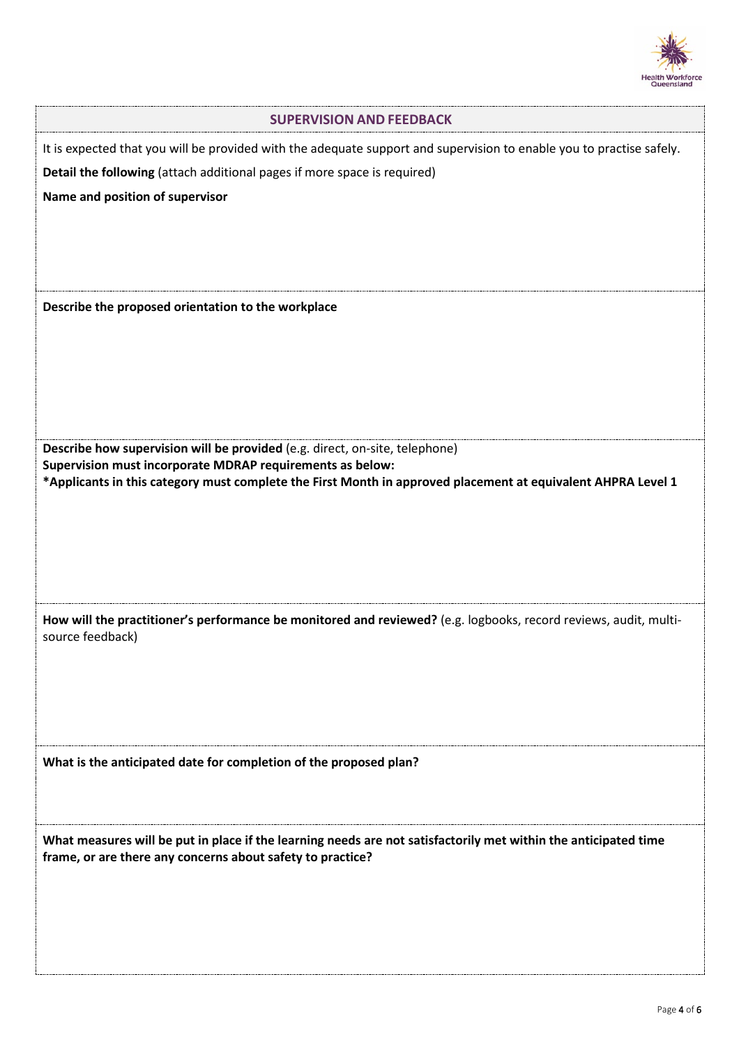

| <b>SUPERVISION AND FEEDBACK</b>                                                                                                                                                                                                                          |
|----------------------------------------------------------------------------------------------------------------------------------------------------------------------------------------------------------------------------------------------------------|
| It is expected that you will be provided with the adequate support and supervision to enable you to practise safely.<br>Detail the following (attach additional pages if more space is required)<br>Name and position of supervisor                      |
| Describe the proposed orientation to the workplace                                                                                                                                                                                                       |
| Describe how supervision will be provided (e.g. direct, on-site, telephone)<br>Supervision must incorporate MDRAP requirements as below:<br>*Applicants in this category must complete the First Month in approved placement at equivalent AHPRA Level 1 |
| How will the practitioner's performance be monitored and reviewed? (e.g. logbooks, record reviews, audit, multi-<br>source feedback)                                                                                                                     |
| What is the anticipated date for completion of the proposed plan?                                                                                                                                                                                        |
| What measures will be put in place if the learning needs are not satisfactorily met within the anticipated time<br>frame, or are there any concerns about safety to practice?                                                                            |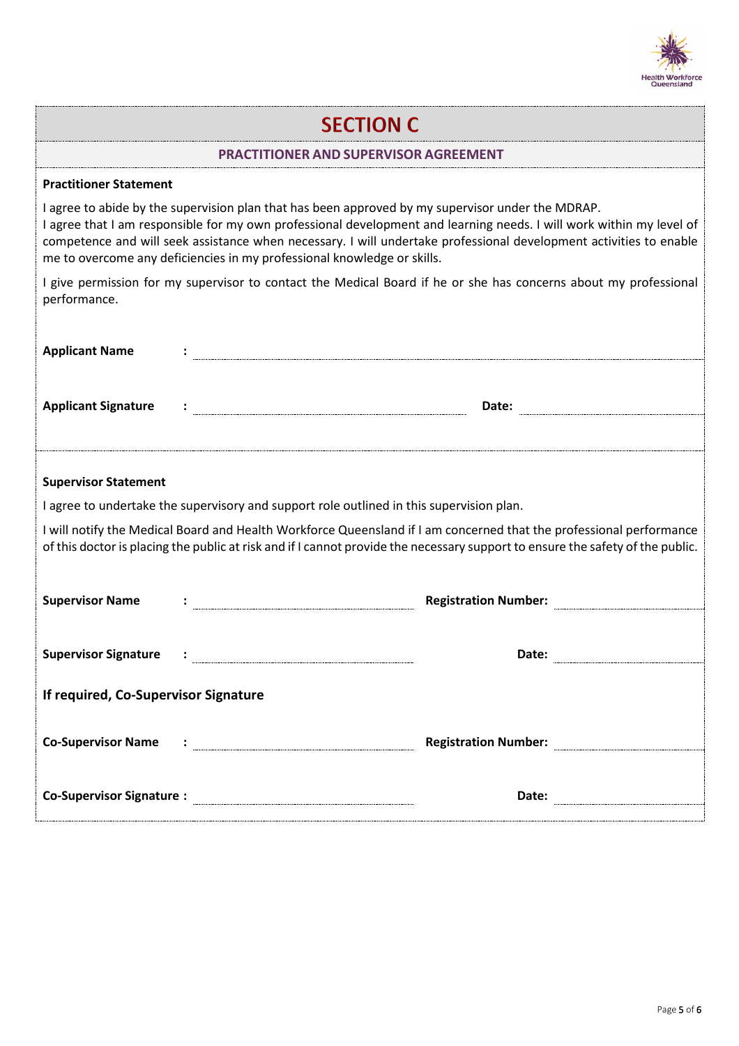

## **SECTION C**

#### **PRACTITIONER AND SUPERVISOR AGREEMENT**

#### **Practitioner Statement**

I agree to abide by the supervision plan that has been approved by my supervisor under the MDRAP. I agree that I am responsible for my own professional development and learning needs. I will work within my level of competence and will seek assistance when necessary. I will undertake professional development activities to enable me to overcome any deficiencies in my professional knowledge or skills.

I give permission for my supervisor to contact the Medical Board if he or she has concerns about my professional performance.

| <b>Applicant Name</b>                                                                                                                                                                                                                                 |  |                                                                                                                                                                                                                                     |  |  |  |
|-------------------------------------------------------------------------------------------------------------------------------------------------------------------------------------------------------------------------------------------------------|--|-------------------------------------------------------------------------------------------------------------------------------------------------------------------------------------------------------------------------------------|--|--|--|
| <b>Applicant Signature</b>                                                                                                                                                                                                                            |  |                                                                                                                                                                                                                                     |  |  |  |
|                                                                                                                                                                                                                                                       |  |                                                                                                                                                                                                                                     |  |  |  |
| <b>Supervisor Statement</b>                                                                                                                                                                                                                           |  |                                                                                                                                                                                                                                     |  |  |  |
| I agree to undertake the supervisory and support role outlined in this supervision plan.                                                                                                                                                              |  |                                                                                                                                                                                                                                     |  |  |  |
| I will notify the Medical Board and Health Workforce Queensland if I am concerned that the professional performance<br>of this doctor is placing the public at risk and if I cannot provide the necessary support to ensure the safety of the public. |  |                                                                                                                                                                                                                                     |  |  |  |
|                                                                                                                                                                                                                                                       |  |                                                                                                                                                                                                                                     |  |  |  |
| <b>Supervisor Name</b>                                                                                                                                                                                                                                |  | Registration Number: <b>www.community.org.</b>                                                                                                                                                                                      |  |  |  |
|                                                                                                                                                                                                                                                       |  |                                                                                                                                                                                                                                     |  |  |  |
|                                                                                                                                                                                                                                                       |  |                                                                                                                                                                                                                                     |  |  |  |
| If required, Co-Supervisor Signature                                                                                                                                                                                                                  |  |                                                                                                                                                                                                                                     |  |  |  |
|                                                                                                                                                                                                                                                       |  | Registration Number: <b>Manual Property</b> Constant Property Constant Property Constant Property Constant Property Constant Property Constant Property Constant Property Constant Property Constant Property Constant Property Con |  |  |  |
|                                                                                                                                                                                                                                                       |  | Date:                                                                                                                                                                                                                               |  |  |  |